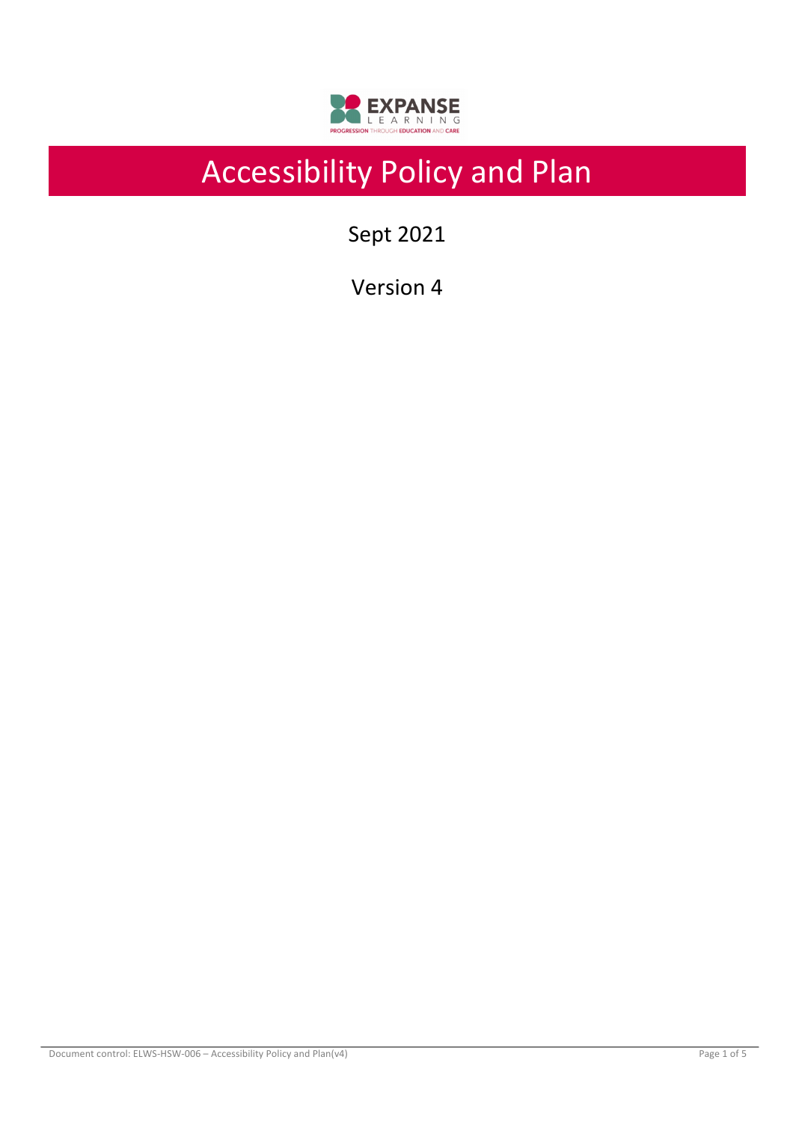

# Accessibility Policy and Plan

Sept 2021

Version 4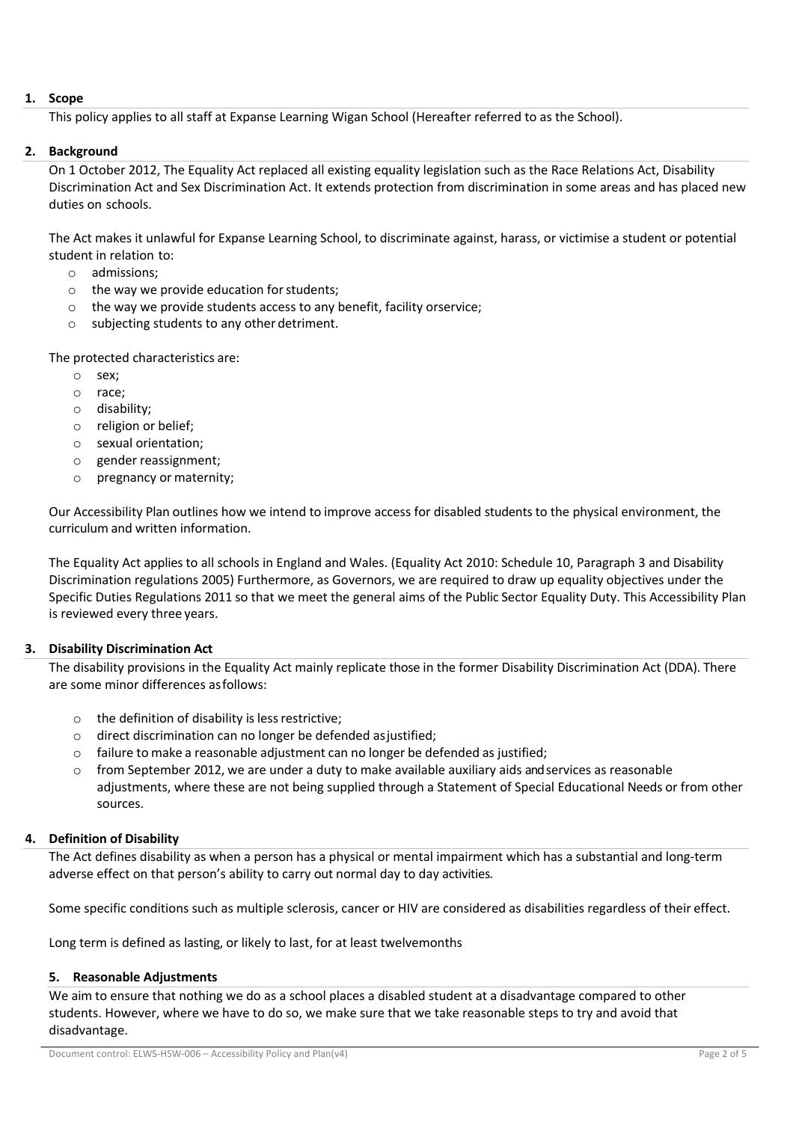# **1. Scope**

This policy applies to all staff at Expanse Learning Wigan School (Hereafter referred to as the School).

# **2. Background**

On 1 October 2012, The Equality Act replaced all existing equality legislation such as the Race Relations Act, Disability Discrimination Act and Sex Discrimination Act. It extends protection from discrimination in some areas and has placed new duties on schools.

The Act makes it unlawful for Expanse Learning School, to discriminate against, harass, or victimise a student or potential student in relation to:

- o admissions;
- $\circ$  the way we provide education for students;
- o the way we provide students access to any benefit, facility orservice;
- o subjecting students to any other detriment.

The protected characteristics are:

- o sex;
- o race;
- o disability;
- o religion or belief;
- o sexual orientation;
- o gender reassignment;
- o pregnancy or maternity;

Our Accessibility Plan outlines how we intend to improve access for disabled students to the physical environment, the curriculum and written information.

The Equality Act applies to all schools in England and Wales. (Equality Act 2010: Schedule 10, Paragraph 3 and Disability Discrimination regulations 2005) Furthermore, as Governors, we are required to draw up equality objectives under the Specific Duties Regulations 2011 so that we meet the general aims of the Public Sector Equality Duty. This Accessibility Plan is reviewed every three years.

## **3. Disability Discrimination Act**

The disability provisions in the Equality Act mainly replicate those in the former Disability Discrimination Act (DDA). There are some minor differences asfollows:

- $\circ$  the definition of disability is less restrictive;
- o direct discrimination can no longer be defended asjustified;
- o failure to make a reasonable adjustment can no longer be defended as justified;
- $\circ$  from September 2012, we are under a duty to make available auxiliary aids and services as reasonable adjustments, where these are not being supplied through a Statement of Special Educational Needs or from other sources.

# **4. Definition of Disability**

The Act defines disability as when a person has a physical or mental impairment which has a substantial and long-term adverse effect on that person's ability to carry out normal day to day activities*.*

Some specific conditions such as multiple sclerosis, cancer or HIV are considered as disabilities regardless of their effect.

Long term is defined as lasting, or likely to last, for at least twelve months

## **5. Reasonable Adjustments**

We aim to ensure that nothing we do as a school places a disabled student at a disadvantage compared to other students. However, where we have to do so, we make sure that we take reasonable steps to try and avoid that disadvantage.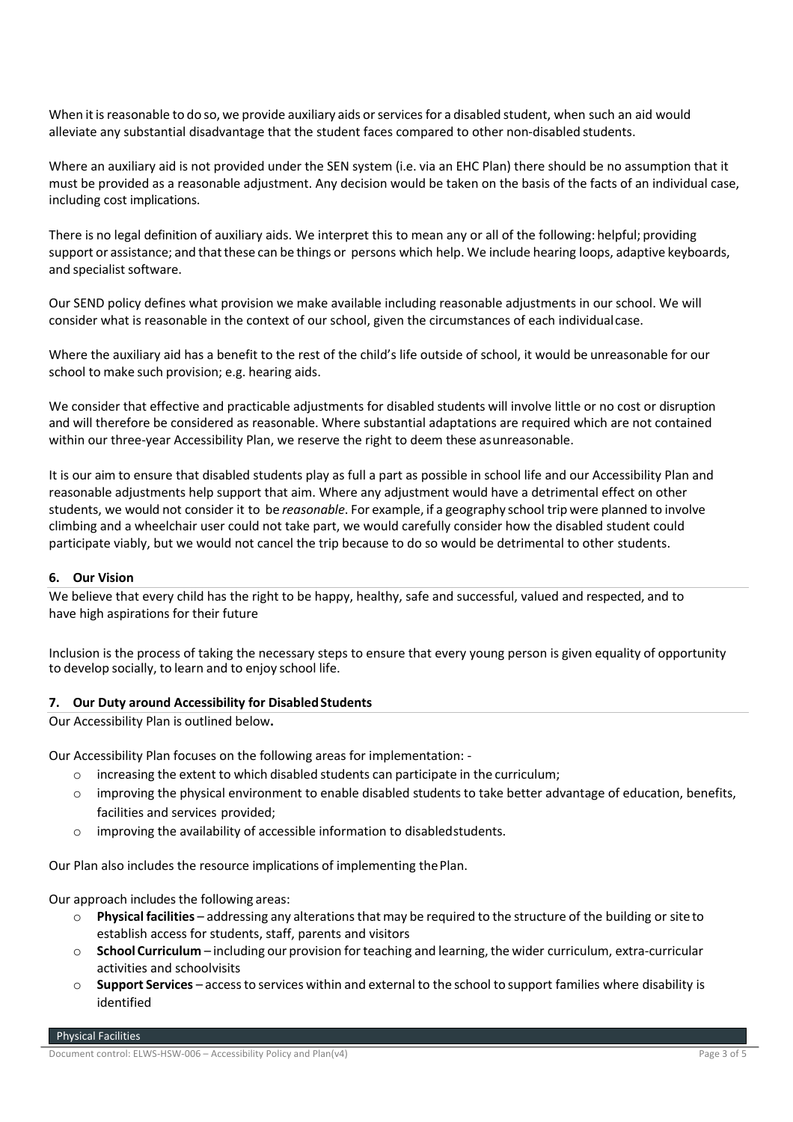When it is reasonable to do so, we provide auxiliary aids or services for a disabled student, when such an aid would alleviate any substantial disadvantage that the student faces compared to other non-disabled students.

Where an auxiliary aid is not provided under the SEN system (i.e. via an EHC Plan) there should be no assumption that it must be provided as a reasonable adjustment. Any decision would be taken on the basis of the facts of an individual case, including cost implications.

There is no legal definition of auxiliary aids. We interpret this to mean any or all of the following: helpful; providing support or assistance; and thatthese can be things or persons which help. We include hearing loops, adaptive keyboards, and specialist software.

Our SEND policy defines what provision we make available including reasonable adjustments in our school. We will consider what is reasonable in the context of our school, given the circumstances of each individualcase.

Where the auxiliary aid has a benefit to the rest of the child's life outside of school, it would be unreasonable for our school to make such provision; e.g. hearing aids.

We consider that effective and practicable adjustments for disabled students will involve little or no cost or disruption and will therefore be considered as reasonable. Where substantial adaptations are required which are not contained within our three-year Accessibility Plan, we reserve the right to deem these asunreasonable.

It is our aim to ensure that disabled students play as full a part as possible in school life and our Accessibility Plan and reasonable adjustments help support that aim. Where any adjustment would have a detrimental effect on other students, we would not consider it to be *reasonable*. For example, if a geography school trip were planned to involve climbing and a wheelchair user could not take part, we would carefully consider how the disabled student could participate viably, but we would not cancel the trip because to do so would be detrimental to other students.

## **6. Our Vision**

We believe that every child has the right to be happy, healthy, safe and successful, valued and respected, and to have high aspirations for their future

Inclusion is the process of taking the necessary steps to ensure that every young person is given equality of opportunity to develop socially, to learn and to enjoy school life.

## **7.** Our Duty around Accessibility for Disabled Students

Our Accessibility Plan is outlined below**.**

Our Accessibility Plan focuses on the following areas for implementation: -

- $\circ$  increasing the extent to which disabled students can participate in the curriculum;
- o improving the physical environment to enable disabled students to take better advantage of education, benefits, facilities and services provided;
- $\circ$  improving the availability of accessible information to disabled students.

Our Plan also includes the resource implications of implementing thePlan.

Our approach includes the following areas:

- o **Physical facilities** addressing any alterationsthatmay be required to the structure of the building or siteto establish access for students, staff, parents and visitors
- o **School Curriculum** including our provision forteaching and learning,the wider curriculum, extra-curricular activities and schoolvisits
- o **Support Services** accessto services within and external to the school to support families where disability is identified

Physical Facilities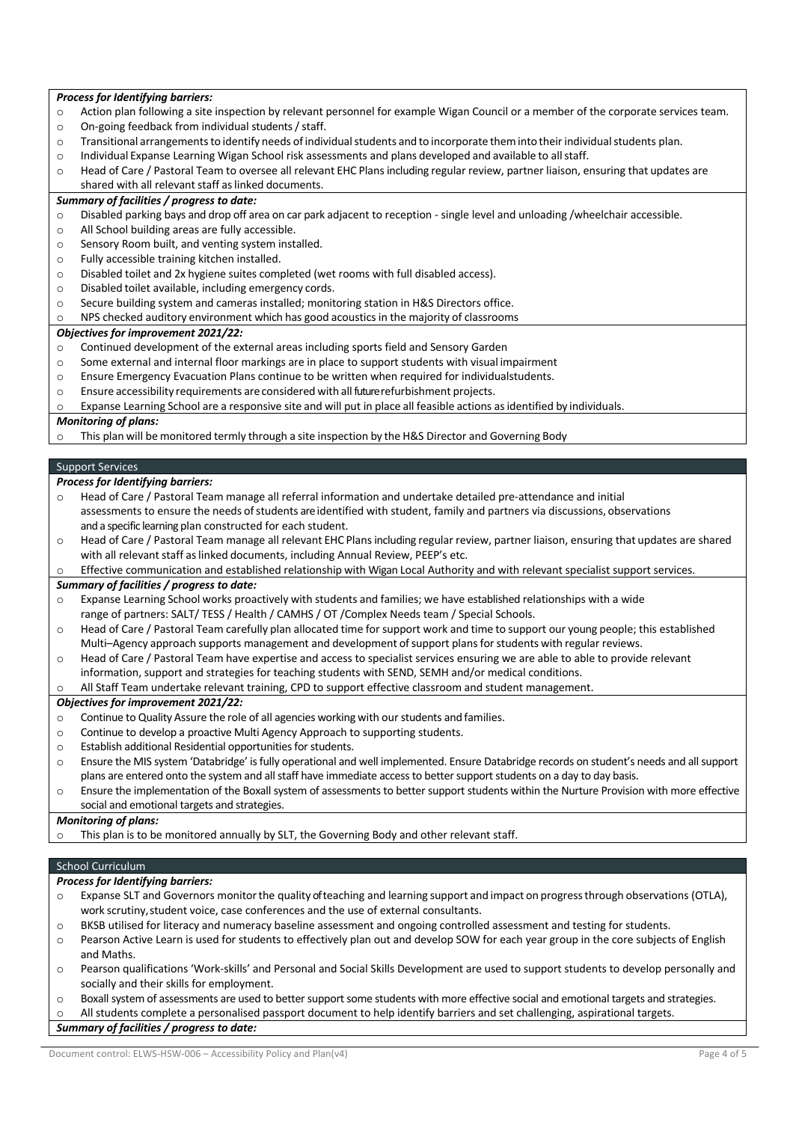## *Process for Identifying barriers:*

- o Action plan following a site inspection by relevant personnel for example Wigan Council or a member of the corporate services team.
- o On-going feedback from individual students / staff.
- $\circ$  Transitional arrangements to identify needs of individual students and to incorporate them into their individual students plan.
- o Individual Expanse Learning Wigan School risk assessments and plans developed and available to allstaff.
- o Head of Care / Pastoral Team to oversee all relevant EHC Plansincluding regular review, partner liaison, ensuring that updates are shared with all relevant staff as linked documents.

#### *Summary of facilities / progress to date:*

- o Disabled parking bays and drop off area on car park adjacent to reception single level and unloading /wheelchair accessible.
- o All School building areas are fully accessible.
- o Sensory Room built, and venting system installed.
- o Fully accessible training kitchen installed.
- o Disabled toilet and 2x hygiene suites completed (wet rooms with full disabled access).
- o Disabled toilet available, including emergency cords.
- o Secure building system and cameras installed; monitoring station in H&S Directors office.
- NPS checked auditory environment which has good acoustics in the majority of classrooms

#### *Objectives for improvement 2021/22:*

- o Continued development of the external areas including sports field and Sensory Garden
- o Some external and internal floor markings are in place to support students with visual impairment
- o Ensure Emergency Evacuation Plans continue to be written when required for individualstudents.
- o Ensure accessibility requirements areconsidered with allfuture refurbishment projects.

#### $\circ$  Expanse Learning School are a responsive site and will put in place all feasible actions as identified by individuals.

#### *Monitoring of plans:*

o This plan will be monitored termly through a site inspection by the H&S Director and Governing Body

#### Support Services

#### *Process for Identifying barriers:*

- Head of Care / Pastoral Team manage all referral information and undertake detailed pre-attendance and initial assessments to ensure the needs of students are identified with student, family and partners via discussions, observations and a specific learning plan constructed for each student.
- o Head of Care / Pastoral Team manage all relevant EHC Plansincluding regular review, partner liaison, ensuring that updates are shared with all relevant staff as linked documents, including Annual Review, PEEP's etc.
- o Effective communication and established relationship with Wigan Local Authority and with relevant specialist support services.

#### *Summary of facilities / progress to date:*

- o Expanse Learning School works proactively with students and families; we have established relationships with a wide range of partners: SALT/ TESS / Health / CAMHS / OT /Complex Needs team / Special Schools.
- o Head of Care / Pastoral Team carefully plan allocated time for support work and time to support our young people; this established Multi–Agency approach supports management and development of support plans for students with regular reviews.
- o Head of Care / Pastoral Team have expertise and access to specialist services ensuring we are able to able to provide relevant information, support and strategies for teaching students with SEND, SEMH and/or medical conditions.

All Staff Team undertake relevant training, CPD to support effective classroom and student management.

#### *Objectives for improvement 2021/22:*

- o Continue to Quality Assure the role of all agencies working with our students and families.
- o Continue to develop a proactive Multi Agency Approach to supporting students.
- o Establish additional Residential opportunities for students.
- o Ensure the MIS system 'Databridge' is fully operational and well implemented. Ensure Databridge records on student's needs and all support plans are entered onto the system and all staff have immediate access to better support students on a day to day basis.
- o Ensure the implementation of the Boxall system of assessments to better support students within the Nurture Provision with more effective social and emotional targets and strategies.

#### *Monitoring of plans:*

This plan is to be monitored annually by SLT, the Governing Body and other relevant staff.

## School Curriculum

*Process for Identifying barriers:*

- o Expanse SLT and Governors monitorthe quality of teaching and learning support and impact on progressthrough observations (OTLA), work scrutiny, student voice, case conferences and the use of external consultants.
- o BKSB utilised for literacy and numeracy baseline assessment and ongoing controlled assessment and testing for students.
- o Pearson Active Learn is used for students to effectively plan out and develop SOW for each year group in the core subjects of English and Maths.
- o Pearson qualifications 'Work-skills' and Personal and Social Skills Development are used to support students to develop personally and socially and their skills for employment.
- o Boxall system of assessments are used to better support some students with more effective social and emotional targets and strategies.

All students complete a personalised passport document to help identify barriers and set challenging, aspirational targets.

*Summary of facilities / progress to date:*